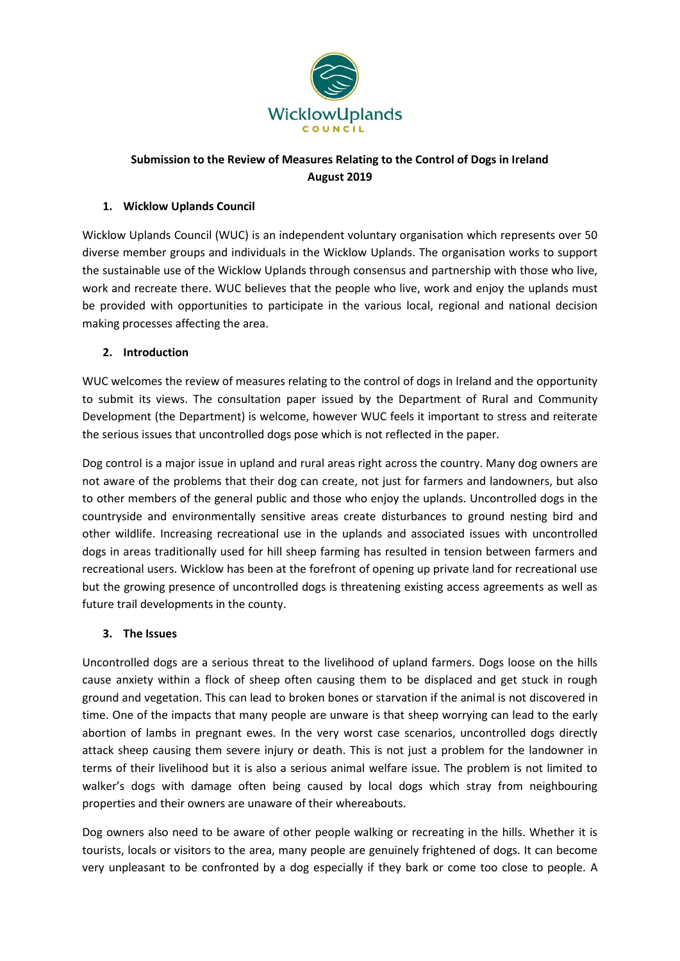

## **Submission to the Review of Measures Relating to the Control of Dogs in Ireland August 2019**

### **1. Wicklow Uplands Council**

Wicklow Uplands Council (WUC) is an independent voluntary organisation which represents over 50 diverse member groups and individuals in the Wicklow Uplands. The organisation works to support the sustainable use of the Wicklow Uplands through consensus and partnership with those who live, work and recreate there. WUC believes that the people who live, work and enjoy the uplands must be provided with opportunities to participate in the various local, regional and national decision making processes affecting the area.

### **2. Introduction**

WUC welcomes the review of measures relating to the control of dogs in Ireland and the opportunity to submit its views. The consultation paper issued by the Department of Rural and Community Development (the Department) is welcome, however WUC feels it important to stress and reiterate the serious issues that uncontrolled dogs pose which is not reflected in the paper.

Dog control is a major issue in upland and rural areas right across the country. Many dog owners are not aware of the problems that their dog can create, not just for farmers and landowners, but also to other members of the general public and those who enjoy the uplands. Uncontrolled dogs in the countryside and environmentally sensitive areas create disturbances to ground nesting bird and other wildlife. Increasing recreational use in the uplands and associated issues with uncontrolled dogs in areas traditionally used for hill sheep farming has resulted in tension between farmers and recreational users. Wicklow has been at the forefront of opening up private land for recreational use but the growing presence of uncontrolled dogs is threatening existing access agreements as well as future trail developments in the county.

### **3. The Issues**

Uncontrolled dogs are a serious threat to the livelihood of upland farmers. Dogs loose on the hills cause anxiety within a flock of sheep often causing them to be displaced and get stuck in rough ground and vegetation. This can lead to broken bones or starvation if the animal is not discovered in time. One of the impacts that many people are unware is that sheep worrying can lead to the early abortion of lambs in pregnant ewes. In the very worst case scenarios, uncontrolled dogs directly attack sheep causing them severe injury or death. This is not just a problem for the landowner in terms of their livelihood but it is also a serious animal welfare issue. The problem is not limited to walker's dogs with damage often being caused by local dogs which stray from neighbouring properties and their owners are unaware of their whereabouts.

Dog owners also need to be aware of other people walking or recreating in the hills. Whether it is tourists, locals or visitors to the area, many people are genuinely frightened of dogs. It can become very unpleasant to be confronted by a dog especially if they bark or come too close to people. A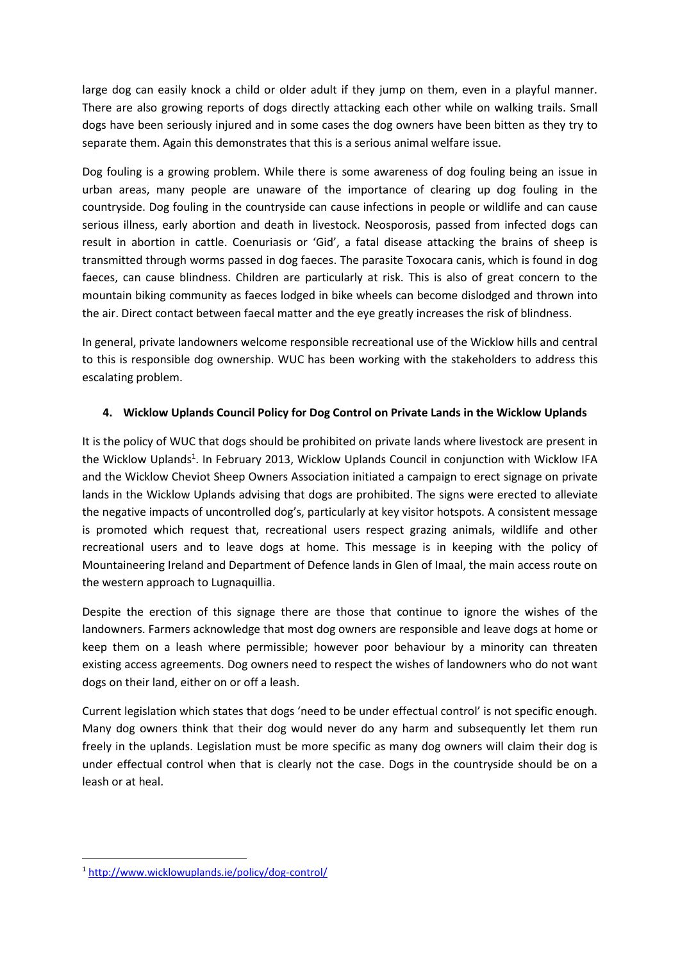large dog can easily knock a child or older adult if they jump on them, even in a playful manner. There are also growing reports of dogs directly attacking each other while on walking trails. Small dogs have been seriously injured and in some cases the dog owners have been bitten as they try to separate them. Again this demonstrates that this is a serious animal welfare issue.

Dog fouling is a growing problem. While there is some awareness of dog fouling being an issue in urban areas, many people are unaware of the importance of clearing up dog fouling in the countryside. Dog fouling in the countryside can cause infections in people or wildlife and can cause serious illness, early abortion and death in livestock. Neosporosis, passed from infected dogs can result in abortion in cattle. Coenuriasis or 'Gid', a fatal disease attacking the brains of sheep is transmitted through worms passed in dog faeces. The parasite Toxocara canis, which is found in dog faeces, can cause blindness. Children are particularly at risk. This is also of great concern to the mountain biking community as faeces lodged in bike wheels can become dislodged and thrown into the air. Direct contact between faecal matter and the eye greatly increases the risk of blindness.

In general, private landowners welcome responsible recreational use of the Wicklow hills and central to this is responsible dog ownership. WUC has been working with the stakeholders to address this escalating problem.

### **4. Wicklow Uplands Council Policy for Dog Control on Private Lands in the Wicklow Uplands**

It is the policy of WUC that dogs should be prohibited on private lands where livestock are present in the Wicklow Uplands<sup>1</sup>. In February 2013, Wicklow Uplands Council in conjunction with Wicklow IFA and the Wicklow Cheviot Sheep Owners Association initiated a campaign to erect signage on private lands in the Wicklow Uplands advising that dogs are prohibited. The signs were erected to alleviate the negative impacts of uncontrolled dog's, particularly at key visitor hotspots. A consistent message is promoted which request that, recreational users respect grazing animals, wildlife and other recreational users and to leave dogs at home. This message is in keeping with the policy of Mountaineering Ireland and Department of Defence lands in Glen of Imaal, the main access route on the western approach to Lugnaquillia.

Despite the erection of this signage there are those that continue to ignore the wishes of the landowners. Farmers acknowledge that most dog owners are responsible and leave dogs at home or keep them on a leash where permissible; however poor behaviour by a minority can threaten existing access agreements. Dog owners need to respect the wishes of landowners who do not want dogs on their land, either on or off a leash.

Current legislation which states that dogs 'need to be under effectual control' is not specific enough. Many dog owners think that their dog would never do any harm and subsequently let them run freely in the uplands. Legislation must be more specific as many dog owners will claim their dog is under effectual control when that is clearly not the case. Dogs in the countryside should be on a leash or at heal.

**.** 

<sup>1</sup> <http://www.wicklowuplands.ie/policy/dog-control/>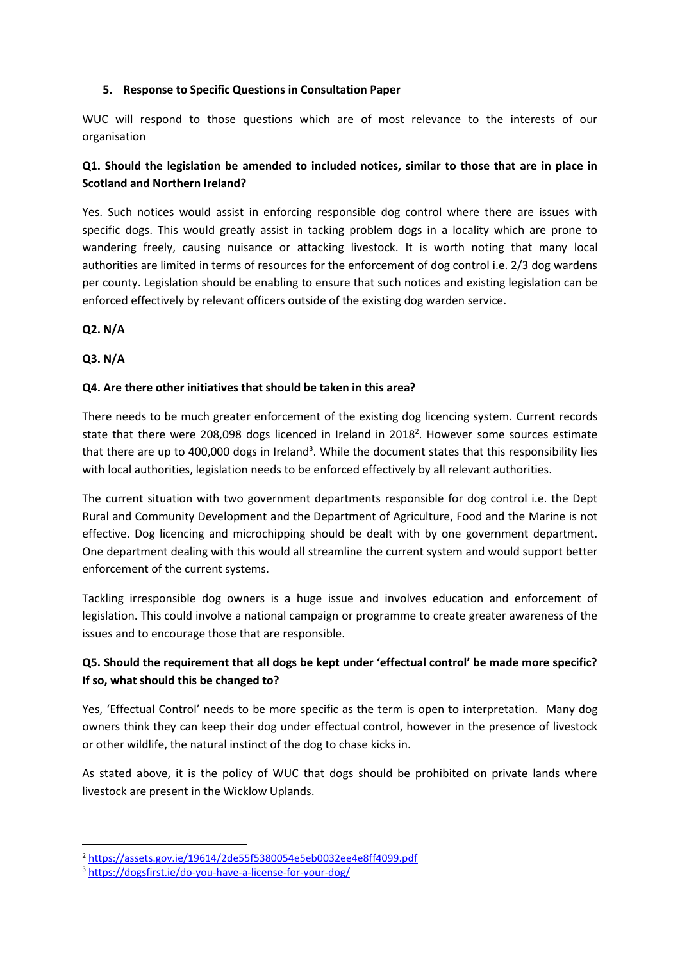### **5. Response to Specific Questions in Consultation Paper**

WUC will respond to those questions which are of most relevance to the interests of our organisation

## **Q1. Should the legislation be amended to included notices, similar to those that are in place in Scotland and Northern Ireland?**

Yes. Such notices would assist in enforcing responsible dog control where there are issues with specific dogs. This would greatly assist in tacking problem dogs in a locality which are prone to wandering freely, causing nuisance or attacking livestock. It is worth noting that many local authorities are limited in terms of resources for the enforcement of dog control i.e. 2/3 dog wardens per county. Legislation should be enabling to ensure that such notices and existing legislation can be enforced effectively by relevant officers outside of the existing dog warden service.

**Q2. N/A**

**Q3. N/A**

1

### **Q4. Are there other initiatives that should be taken in this area?**

There needs to be much greater enforcement of the existing dog licencing system. Current records state that there were 208,098 dogs licenced in Ireland in 2018<sup>2</sup>. However some sources estimate that there are up to 400,000 dogs in Ireland<sup>3</sup>. While the document states that this responsibility lies with local authorities, legislation needs to be enforced effectively by all relevant authorities.

The current situation with two government departments responsible for dog control i.e. the Dept Rural and Community Development and the Department of Agriculture, Food and the Marine is not effective. Dog licencing and microchipping should be dealt with by one government department. One department dealing with this would all streamline the current system and would support better enforcement of the current systems.

Tackling irresponsible dog owners is a huge issue and involves education and enforcement of legislation. This could involve a national campaign or programme to create greater awareness of the issues and to encourage those that are responsible.

# **Q5. Should the requirement that all dogs be kept under 'effectual control' be made more specific? If so, what should this be changed to?**

Yes, 'Effectual Control' needs to be more specific as the term is open to interpretation. Many dog owners think they can keep their dog under effectual control, however in the presence of livestock or other wildlife, the natural instinct of the dog to chase kicks in.

As stated above, it is the policy of WUC that dogs should be prohibited on private lands where livestock are present in the Wicklow Uplands.

<sup>2</sup> <https://assets.gov.ie/19614/2de55f5380054e5eb0032ee4e8ff4099.pdf>

<sup>3</sup> <https://dogsfirst.ie/do-you-have-a-license-for-your-dog/>